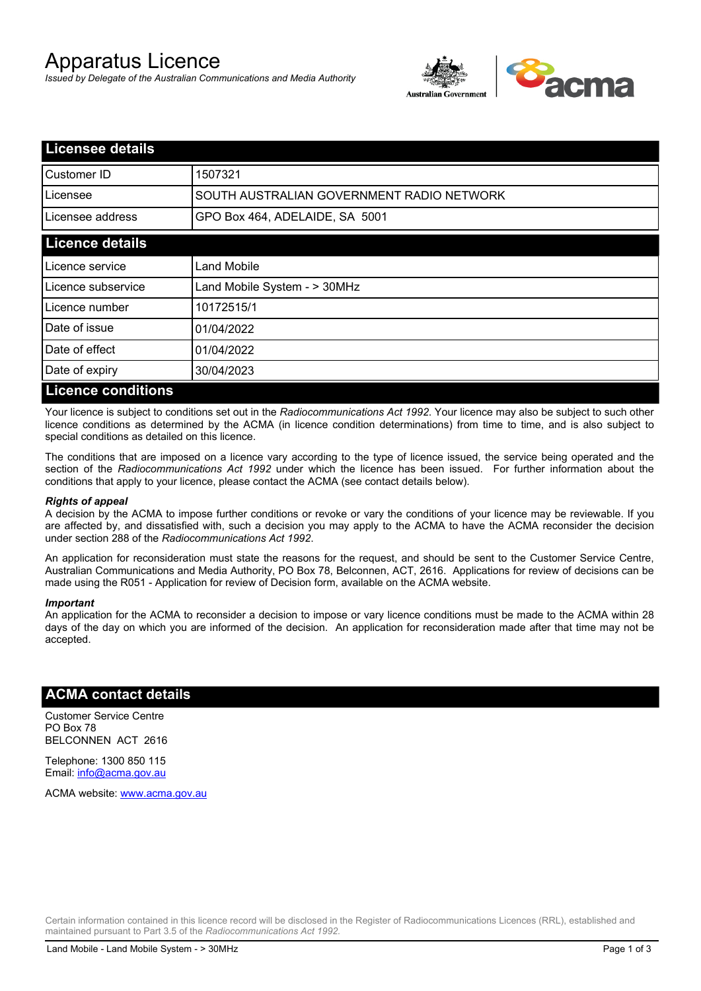# Apparatus Licence

*Issued by Delegate of the Australian Communications and Media Authority*



| <b>Licensee details</b>   |                                           |
|---------------------------|-------------------------------------------|
| <b>I</b> Customer ID      | 1507321                                   |
| Licensee                  | SOUTH AUSTRALIAN GOVERNMENT RADIO NETWORK |
| Licensee address          | GPO Box 464, ADELAIDE, SA 5001            |
| <b>Licence details</b>    |                                           |
| Licence service           | <b>Land Mobile</b>                        |
| Licence subservice        | Land Mobile System - > 30MHz              |
| Licence number            | 10172515/1                                |
| Date of issue             | 01/04/2022                                |
| Date of effect            | 01/04/2022                                |
| Date of expiry            | 30/04/2023                                |
| <b>Licence conditions</b> |                                           |

Your licence is subject to conditions set out in the *Radiocommunications Act 1992*. Your licence may also be subject to such other licence conditions as determined by the ACMA (in licence condition determinations) from time to time, and is also subject to special conditions as detailed on this licence.

The conditions that are imposed on a licence vary according to the type of licence issued, the service being operated and the section of the *Radiocommunications Act 1992* under which the licence has been issued. For further information about the conditions that apply to your licence, please contact the ACMA (see contact details below).

#### *Rights of appeal*

A decision by the ACMA to impose further conditions or revoke or vary the conditions of your licence may be reviewable. If you are affected by, and dissatisfied with, such a decision you may apply to the ACMA to have the ACMA reconsider the decision under section 288 of the *Radiocommunications Act 1992*.

An application for reconsideration must state the reasons for the request, and should be sent to the Customer Service Centre, Australian Communications and Media Authority, PO Box 78, Belconnen, ACT, 2616. Applications for review of decisions can be made using the R051 - Application for review of Decision form, available on the ACMA website.

#### *Important*

An application for the ACMA to reconsider a decision to impose or vary licence conditions must be made to the ACMA within 28 days of the day on which you are informed of the decision. An application for reconsideration made after that time may not be accepted.

#### **ACMA contact details**

Customer Service Centre PO Box 78 BELCONNEN ACT 2616

Telephone: 1300 850 115 Email: info@acma.gov.au

ACMA website: www.acma.gov.au

Certain information contained in this licence record will be disclosed in the Register of Radiocommunications Licences (RRL), established and maintained pursuant to Part 3.5 of the *Radiocommunications Act 1992.*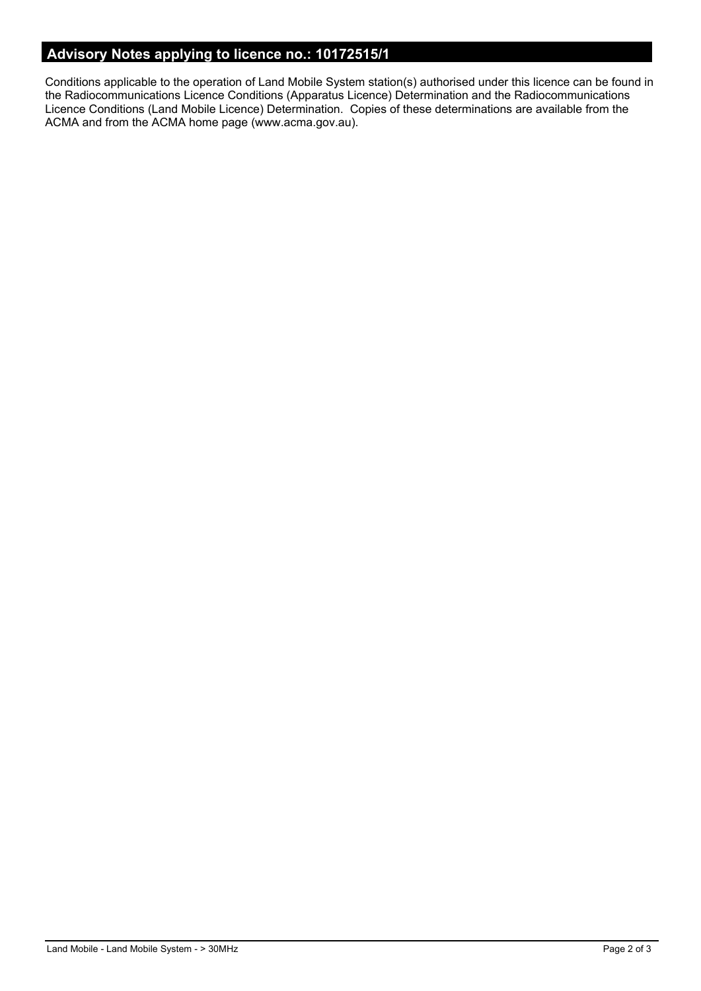## **Advisory Notes applying to licence no.: 10172515/1**

Conditions applicable to the operation of Land Mobile System station(s) authorised under this licence can be found in the Radiocommunications Licence Conditions (Apparatus Licence) Determination and the Radiocommunications Licence Conditions (Land Mobile Licence) Determination. Copies of these determinations are available from the ACMA and from the ACMA home page (www.acma.gov.au).